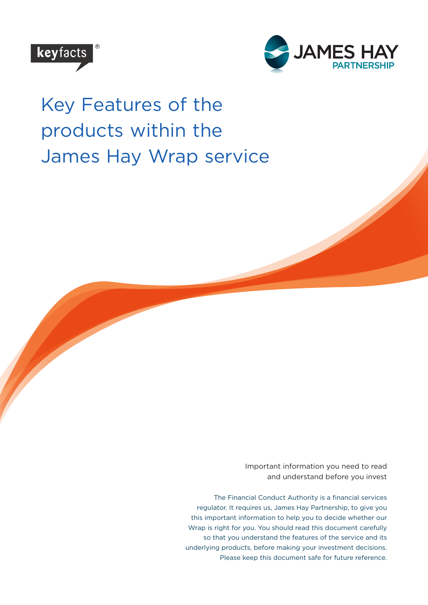



# Key Features of the products within the James Hay Wrap service

Important information you need to read and understand before you invest

The Financial Conduct Authority is a financial services regulator. It requires us, James Hay Partnership, to give you this important information to help you to decide whether our Wrap is right for you. You should read this document carefully so that you understand the features of the service and its underlying products, before making your investment decisions. Please keep this document safe for future reference.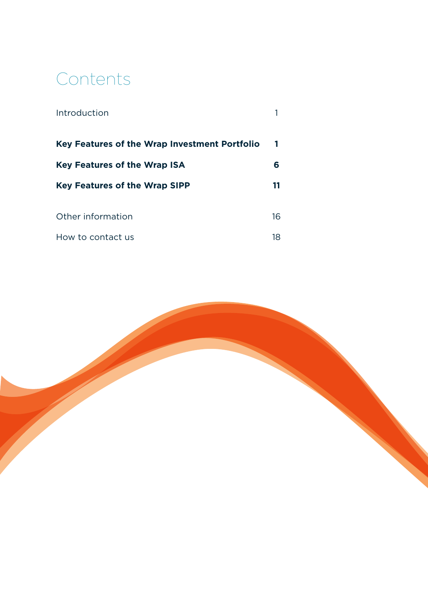# Contents

| Introduction                                  |     |
|-----------------------------------------------|-----|
| Key Features of the Wrap Investment Portfolio |     |
| <b>Key Features of the Wrap ISA</b>           | 6   |
| <b>Key Features of the Wrap SIPP</b>          | 11  |
| Other information                             | 16  |
|                                               |     |
| How to contact us                             | 18. |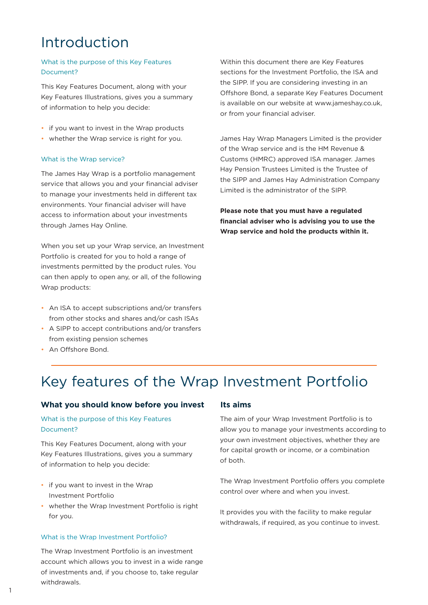# Introduction

# What is the purpose of this Key Features Document?

This Key Features Document, along with your Key Features Illustrations, gives you a summary of information to help you decide:

- if you want to invest in the Wrap products
- whether the Wrap service is right for you.

#### What is the Wrap service?

The James Hay Wrap is a portfolio management service that allows you and your financial adviser to manage your investments held in different tax environments. Your financial adviser will have access to information about your investments through James Hay Online.

When you set up your Wrap service, an Investment Portfolio is created for you to hold a range of investments permitted by the product rules. You can then apply to open any, or all, of the following Wrap products:

- An ISA to accept subscriptions and/or transfers from other stocks and shares and/or cash ISAs
- A SIPP to accept contributions and/or transfers from existing pension schemes
- An Offshore Bond.

Within this document there are Key Features sections for the Investment Portfolio, the ISA and the SIPP. If you are considering investing in an Offshore Bond, a separate Key Features Document is available on our website at www.jameshay.co.uk, or from your financial adviser.

James Hay Wrap Managers Limited is the provider of the Wrap service and is the HM Revenue & Customs (HMRC) approved ISA manager. James Hay Pension Trustees Limited is the Trustee of the SIPP and James Hay Administration Company Limited is the administrator of the SIPP.

**Please note that you must have a regulated financial adviser who is advising you to use the Wrap service and hold the products within it.**

# Key features of the Wrap Investment Portfolio

# **What you should know before you invest Its aims**

# What is the purpose of this Key Features Document?

This Key Features Document, along with your Key Features Illustrations, gives you a summary of information to help you decide:

- if you want to invest in the Wrap Investment Portfolio
- whether the Wrap Investment Portfolio is right for you.

#### What is the Wrap Investment Portfolio?

The Wrap Investment Portfolio is an investment account which allows you to invest in a wide range of investments and, if you choose to, take regular withdrawals.

The aim of your Wrap Investment Portfolio is to allow you to manage your investments according to your own investment objectives, whether they are for capital growth or income, or a combination of both.

The Wrap Investment Portfolio offers you complete control over where and when you invest.

It provides you with the facility to make regular withdrawals, if required, as you continue to invest.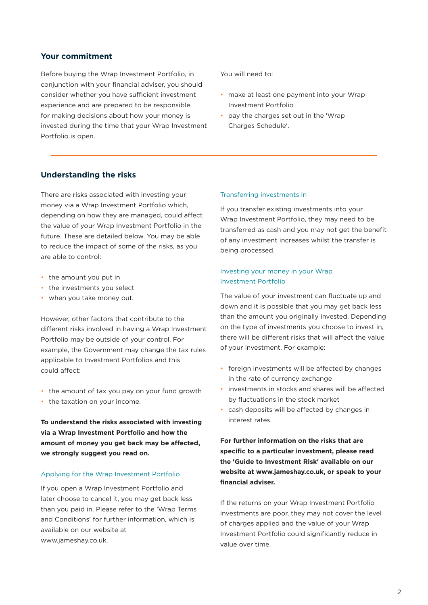### **Your commitment**

Before buying the Wrap Investment Portfolio, in conjunction with your financial adviser, you should consider whether you have sufficient investment experience and are prepared to be responsible for making decisions about how your money is invested during the time that your Wrap Investment Portfolio is open.

You will need to:

- make at least one payment into your Wrap Investment Portfolio
- pay the charges set out in the 'Wrap Charges Schedule'.

# **Understanding the risks**

There are risks associated with investing your money via a Wrap Investment Portfolio which, depending on how they are managed, could affect the value of your Wrap Investment Portfolio in the future. These are detailed below. You may be able to reduce the impact of some of the risks, as you are able to control:

- the amount you put in
- the investments you select
- when you take money out.

However, other factors that contribute to the different risks involved in having a Wrap Investment Portfolio may be outside of your control. For example, the Government may change the tax rules applicable to Investment Portfolios and this could affect:

- the amount of tax you pay on your fund growth
- the taxation on your income.

**To understand the risks associated with investing via a Wrap Investment Portfolio and how the amount of money you get back may be affected, we strongly suggest you read on.**

### Applying for the Wrap Investment Portfolio

If you open a Wrap Investment Portfolio and later choose to cancel it, you may get back less than you paid in. Please refer to the 'Wrap Terms and Conditions' for further information, which is available on our website at www.jameshay.co.uk.

#### Transferring investments in

If you transfer existing investments into your Wrap Investment Portfolio, they may need to be transferred as cash and you may not get the benefit of any investment increases whilst the transfer is being processed.

# Investing your money in your Wrap Investment Portfolio

The value of your investment can fluctuate up and down and it is possible that you may get back less than the amount you originally invested. Depending on the type of investments you choose to invest in, there will be different risks that will affect the value of your investment. For example:

- foreign investments will be affected by changes in the rate of currency exchange
- investments in stocks and shares will be affected by fluctuations in the stock market
- cash deposits will be affected by changes in interest rates.

**For further information on the risks that are specific to a particular investment, please read the 'Guide to Investment Risk' available on our website at www.jameshay.co.uk, or speak to your financial adviser.**

If the returns on your Wrap Investment Portfolio investments are poor, they may not cover the level of charges applied and the value of your Wrap Investment Portfolio could significantly reduce in value over time.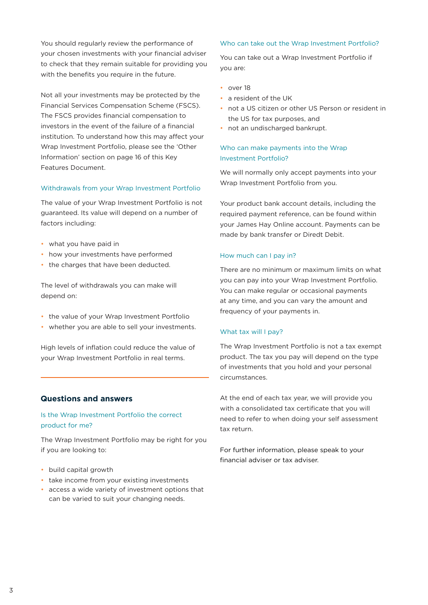You should regularly review the performance of your chosen investments with your financial adviser to check that they remain suitable for providing you with the benefits you require in the future.

Not all your investments may be protected by the Financial Services Compensation Scheme (FSCS). The FSCS provides financial compensation to investors in the event of the failure of a financial institution. To understand how this may affect your Wrap Investment Portfolio, please see the 'Other Information' section on page 16 of this Key Features Document.

#### Withdrawals from your Wrap Investment Portfolio

The value of your Wrap Investment Portfolio is not guaranteed. Its value will depend on a number of factors including:

- what you have paid in
- how your investments have performed
- the charges that have been deducted.

The level of withdrawals you can make will depend on:

- the value of your Wrap Investment Portfolio
- whether you are able to sell your investments.

High levels of inflation could reduce the value of your Wrap Investment Portfolio in real terms.

# **Questions and answers**

## Is the Wrap Investment Portfolio the correct product for me?

The Wrap Investment Portfolio may be right for you if you are looking to:

- build capital growth
- take income from your existing investments
- access a wide variety of investment options that can be varied to suit your changing needs.

#### Who can take out the Wrap Investment Portfolio?

You can take out a Wrap Investment Portfolio if you are:

- over 18
- a resident of the UK
- not a US citizen or other US Person or resident in the US for tax purposes, and
- not an undischarged bankrupt.

# Who can make payments into the Wrap Investment Portfolio?

We will normally only accept payments into your Wrap Investment Portfolio from you.

Your product bank account details, including the required payment reference, can be found within your James Hay Online account. Payments can be made by bank transfer or Diredt Debit.

#### How much can I pay in?

There are no minimum or maximum limits on what you can pay into your Wrap Investment Portfolio. You can make regular or occasional payments at any time, and you can vary the amount and frequency of your payments in.

#### What tax will I pay?

The Wrap Investment Portfolio is not a tax exempt product. The tax you pay will depend on the type of investments that you hold and your personal circumstances.

At the end of each tax year, we will provide you with a consolidated tax certificate that you will need to refer to when doing your self assessment tax return.

For further information, please speak to your financial adviser or tax adviser.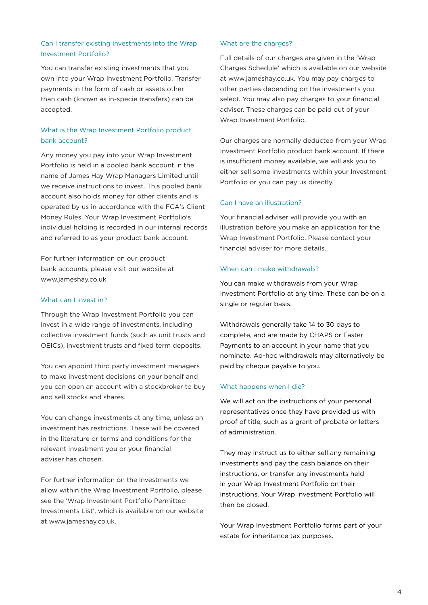# Can I transfer existing investments into the Wrap Investment Portfolio?

You can transfer existing investments that you own into your Wrap Investment Portfolio. Transfer payments in the form of cash or assets other than cash (known as in-specie transfers) can be accepted.

# What is the Wrap Investment Portfolio product bank account?

Any money you pay into your Wrap Investment Portfolio is held in a pooled bank account in the name of James Hay Wrap Managers Limited until we receive instructions to invest. This pooled bank account also holds money for other clients and is operated by us in accordance with the FCA's Client Money Rules. Your Wrap Investment Portfolio's individual holding is recorded in our internal records and referred to as your product bank account.

For further information on our product bank accounts, please visit our website at www.jameshay.co.uk.

### What can I invest in?

Through the Wrap Investment Portfolio you can invest in a wide range of investments, including collective investment funds (such as unit trusts and OEICs), investment trusts and fixed term deposits.

You can appoint third party investment managers to make investment decisions on your behalf and you can open an account with a stockbroker to buy and sell stocks and shares.

You can change investments at any time, unless an investment has restrictions. These will be covered in the literature or terms and conditions for the relevant investment you or your financial adviser has chosen.

For further information on the investments we allow within the Wrap Investment Portfolio, please see the 'Wrap Investment Portfolio Permitted Investments List', which is available on our website at www.jameshay.co.uk.

#### What are the charges?

Full details of our charges are given in the 'Wrap Charges Schedule' which is available on our website at www.jameshay.co.uk. You may pay charges to other parties depending on the investments you select. You may also pay charges to your financial adviser. These charges can be paid out of your Wrap Investment Portfolio.

Our charges are normally deducted from your Wrap Investment Portfolio product bank account. If there is insufficient money available, we will ask you to either sell some investments within your Investment Portfolio or you can pay us directly.

# Can I have an illustration?

Your financial adviser will provide you with an illustration before you make an application for the Wrap Investment Portfolio. Please contact your financial adviser for more details.

### When can I make withdrawals?

You can make withdrawals from your Wrap Investment Portfolio at any time. These can be on a single or regular basis.

Withdrawals generally take 14 to 30 days to complete, and are made by CHAPS or Faster Payments to an account in your name that you nominate. Ad-hoc withdrawals may alternatively be paid by cheque payable to you.

### What happens when I die?

We will act on the instructions of your personal representatives once they have provided us with proof of title, such as a grant of probate or letters of administration.

They may instruct us to either sell any remaining investments and pay the cash balance on their instructions, or transfer any investments held in your Wrap Investment Portfolio on their instructions. Your Wrap Investment Portfolio will then be closed.

Your Wrap Investment Portfolio forms part of your estate for inheritance tax purposes.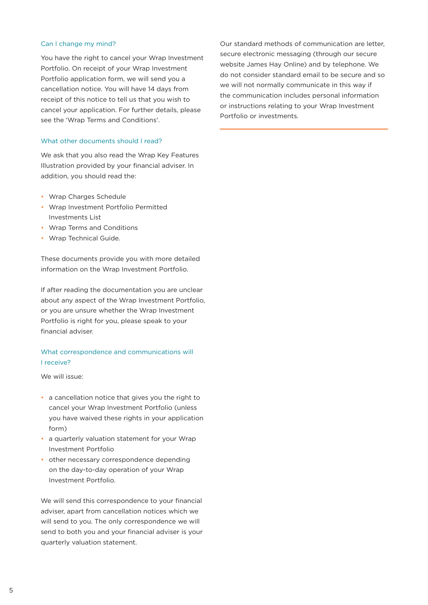#### Can I change my mind?

You have the right to cancel your Wrap Investment Portfolio. On receipt of your Wrap Investment Portfolio application form, we will send you a cancellation notice. You will have 14 days from receipt of this notice to tell us that you wish to cancel your application. For further details, please see the 'Wrap Terms and Conditions'.

### What other documents should I read?

We ask that you also read the Wrap Key Features Illustration provided by your financial adviser. In addition, you should read the:

- Wrap Charges Schedule
- Wrap Investment Portfolio Permitted Investments List
- Wrap Terms and Conditions
- Wrap Technical Guide.

These documents provide you with more detailed information on the Wrap Investment Portfolio.

If after reading the documentation you are unclear about any aspect of the Wrap Investment Portfolio, or you are unsure whether the Wrap Investment Portfolio is right for you, please speak to your financial adviser.

# What correspondence and communications will I receive?

We will issue:

- a cancellation notice that gives you the right to cancel your Wrap Investment Portfolio (unless you have waived these rights in your application form)
- a quarterly valuation statement for your Wrap Investment Portfolio
- other necessary correspondence depending on the day-to-day operation of your Wrap Investment Portfolio.

We will send this correspondence to your financial adviser, apart from cancellation notices which we will send to you. The only correspondence we will send to both you and your financial adviser is your quarterly valuation statement.

Our standard methods of communication are letter, secure electronic messaging (through our secure website James Hay Online) and by telephone. We do not consider standard email to be secure and so we will not normally communicate in this way if the communication includes personal information or instructions relating to your Wrap Investment Portfolio or investments.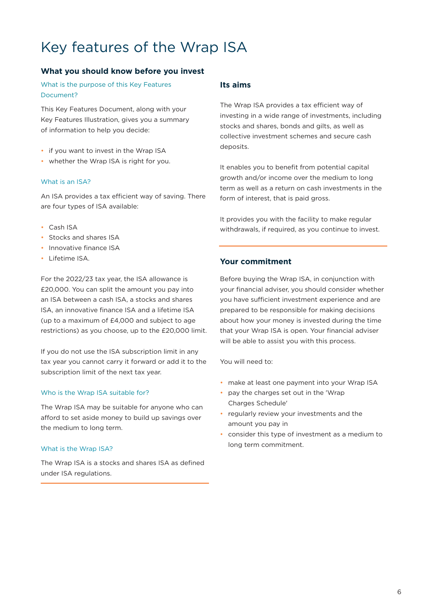# Key features of the Wrap ISA

# **What you should know before you invest**

What is the purpose of this Key Features Document?

This Key Features Document, along with your Key Features Illustration, gives you a summary of information to help you decide:

- if you want to invest in the Wrap ISA
- whether the Wrap ISA is right for you.

# What is an ISA?

An ISA provides a tax efficient way of saving. There are four types of ISA available:

- Cash ISA
- Stocks and shares ISA
- Innovative finance ISA
- Lifetime ISA.

For the 2022/23 tax year, the ISA allowance is £20,000. You can split the amount you pay into an ISA between a cash ISA, a stocks and shares ISA, an innovative finance ISA and a lifetime ISA (up to a maximum of £4,000 and subject to age restrictions) as you choose, up to the £20,000 limit.

If you do not use the ISA subscription limit in any tax year you cannot carry it forward or add it to the subscription limit of the next tax year.

# Who is the Wrap ISA suitable for?

The Wrap ISA may be suitable for anyone who can afford to set aside money to build up savings over the medium to long term.

# What is the Wrap ISA?

The Wrap ISA is a stocks and shares ISA as defined under ISA regulations.

# **Its aims**

The Wrap ISA provides a tax efficient way of investing in a wide range of investments, including stocks and shares, bonds and gilts, as well as collective investment schemes and secure cash deposits.

It enables you to benefit from potential capital growth and/or income over the medium to long term as well as a return on cash investments in the form of interest, that is paid gross.

It provides you with the facility to make regular withdrawals, if required, as you continue to invest.

# **Your commitment**

Before buying the Wrap ISA, in conjunction with your financial adviser, you should consider whether you have sufficient investment experience and are prepared to be responsible for making decisions about how your money is invested during the time that your Wrap ISA is open. Your financial adviser will be able to assist you with this process.

You will need to:

- make at least one payment into your Wrap ISA
- pay the charges set out in the 'Wrap Charges Schedule'
- regularly review your investments and the amount you pay in
- consider this type of investment as a medium to long term commitment.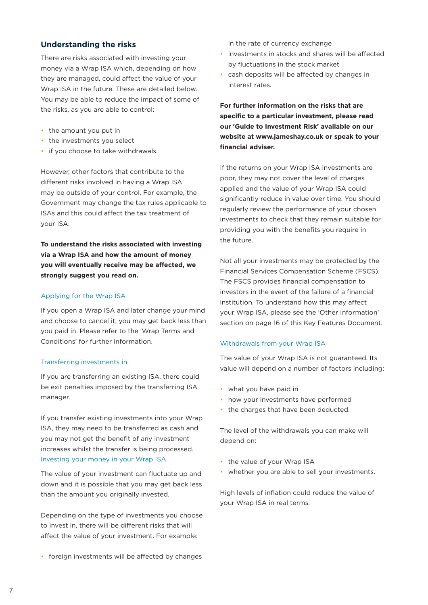# **Understanding the risks**

There are risks associated with investing your money via a Wrap ISA which, depending on how they are managed, could affect the value of your Wrap ISA in the future. These are detailed below. You may be able to reduce the impact of some of the risks, as you are able to control:

- the amount you put in
- the investments you select
- if you choose to take withdrawals.

However, other factors that contribute to the different risks involved in having a Wrap ISA may be outside of your control. For example, the Government may change the tax rules applicable to ISAs and this could affect the tax treatment of your ISA.

**To understand the risks associated with investing via a Wrap ISA and how the amount of money you will eventually receive may be affected, we strongly suggest you read on.**

#### Applying for the Wrap ISA

If you open a Wrap ISA and later change your mind and choose to cancel it, you may get back less than you paid in. Please refer to the 'Wrap Terms and Conditions' for further information.

#### Transferring investments in

If you are transferring an existing ISA, there could be exit penalties imposed by the transferring ISA manager.

If you transfer existing investments into your Wrap ISA, they may need to be transferred as cash and you may not get the benefit of any investment increases whilst the transfer is being processed. Investing your money in your Wrap ISA

The value of your investment can fluctuate up and down and it is possible that you may get back less than the amount you originally invested.

Depending on the type of investments you choose to invest in, there will be different risks that will affect the value of your investment. For example:

in the rate of currency exchange

- investments in stocks and shares will be affected by fluctuations in the stock market
- cash deposits will be affected by changes in interest rates.

**For further information on the risks that are specific to a particular investment, please read our 'Guide to Investment Risk' available on our website at www.jameshay.co.uk or speak to your financial adviser.**

If the returns on your Wrap ISA investments are poor, they may not cover the level of charges applied and the value of your Wrap ISA could significantly reduce in value over time. You should regularly review the performance of your chosen investments to check that they remain suitable for providing you with the benefits you require in the future.

Not all your investments may be protected by the Financial Services Compensation Scheme (FSCS). The FSCS provides financial compensation to investors in the event of the failure of a financial institution. To understand how this may affect your Wrap ISA, please see the 'Other Information' section on page 16 of this Key Features Document.

#### Withdrawals from your Wrap ISA

The value of your Wrap ISA is not guaranteed. Its value will depend on a number of factors including:

- what you have paid in
- how your investments have performed
- the charges that have been deducted.

The level of the withdrawals you can make will depend on:

- the value of your Wrap ISA
- whether you are able to sell your investments.

High levels of inflation could reduce the value of your Wrap ISA in real terms.

• foreign investments will be affected by changes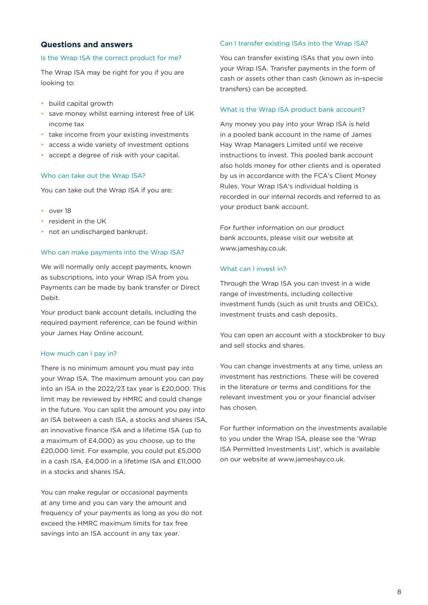# **Questions and answers**

### Is the Wrap ISA the correct product for me?

The Wrap ISA may be right for you if you are looking to:

- build capital growth
- save money whilst earning interest free of UK income tax
- take income from your existing investments
- access a wide variety of investment options
- accept a degree of risk with your capital.

#### Who can take out the Wrap ISA?

You can take out the Wrap ISA if you are:

- over 18
- resident in the UK
- not an undischarged bankrupt.

#### Who can make payments into the Wrap ISA?

We will normally only accept payments, known as subscriptions, into your Wrap ISA from you. Payments can be made by bank transfer or Direct Debit.

Your product bank account details, including the required payment reference, can be found within your James Hay Online account.

#### How much can I pay in?

There is no minimum amount you must pay into your Wrap ISA. The maximum amount you can pay into an ISA in the 2022/23 tax year is £20,000. This limit may be reviewed by HMRC and could change in the future. You can split the amount you pay into an ISA between a cash ISA, a stocks and shares ISA, an innovative finance ISA and a lifetime ISA (up to a maximum of £4,000) as you choose, up to the £20,000 limit. For example, you could put £5,000 in a cash ISA, £4,000 in a lifetime ISA and £11,000 in a stocks and shares ISA.

You can make regular or occasional payments at any time and you can vary the amount and frequency of your payments as long as you do not exceed the HMRC maximum limits for tax free savings into an ISA account in any tax year.

#### Can I transfer existing ISAs into the Wrap ISA?

You can transfer existing ISAs that you own into your Wrap ISA. Transfer payments in the form of cash or assets other than cash (known as in-specie transfers) can be accepted.

#### What is the Wrap ISA product bank account?

Any money you pay into your Wrap ISA is held in a pooled bank account in the name of James Hay Wrap Managers Limited until we receive instructions to invest. This pooled bank account also holds money for other clients and is operated by us in accordance with the FCA's Client Money Rules. Your Wrap ISA's individual holding is recorded in our internal records and referred to as your product bank account.

For further information on our product bank accounts, please visit our website at www.jameshay.co.uk.

### What can I invest in?

Through the Wrap ISA you can invest in a wide range of investments, including collective investment funds (such as unit trusts and OEICs), investment trusts and cash deposits.

You can open an account with a stockbroker to buy and sell stocks and shares.

You can change investments at any time, unless an investment has restrictions. These will be covered in the literature or terms and conditions for the relevant investment you or your financial adviser has chosen.

For further information on the investments available to you under the Wrap ISA, please see the 'Wrap ISA Permitted Investments List', which is available on our website at www.jameshay.co.uk.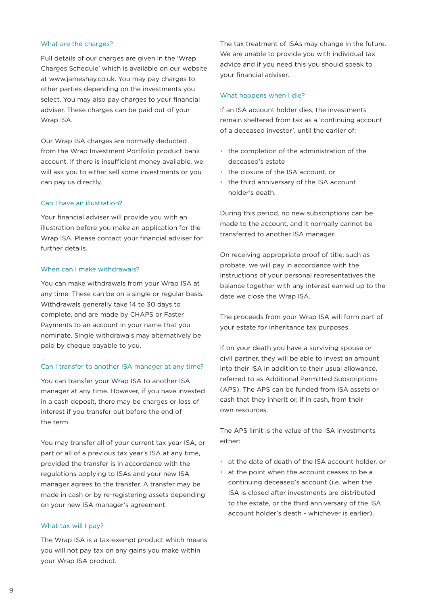#### What are the charges?

Full details of our charges are given in the 'Wrap Charges Schedule' which is available on our website at www.jameshay.co.uk. You may pay charges to other parties depending on the investments you select. You may also pay charges to your financial adviser. These charges can be paid out of your Wrap ISA.

Our Wrap ISA charges are normally deducted from the Wrap Investment Portfolio product bank account. If there is insufficient money available, we will ask you to either sell some investments or you can pay us directly.

### Can I have an illustration?

Your financial adviser will provide you with an illustration before you make an application for the Wrap ISA. Please contact your financial adviser for further details.

#### When can I make withdrawals?

You can make withdrawals from your Wrap ISA at any time. These can be on a single or regular basis. Withdrawals generally take 14 to 30 days to complete, and are made by CHAPS or Faster Payments to an account in your name that you nominate. Single withdrawals may alternatively be paid by cheque payable to you.

#### Can I transfer to another ISA manager at any time?

You can transfer your Wrap ISA to another ISA manager at any time. However, if you have invested in a cash deposit, there may be charges or loss of interest if you transfer out before the end of the term.

You may transfer all of your current tax year ISA, or part or all of a previous tax year's ISA at any time, provided the transfer is in accordance with the regulations applying to ISAs and your new ISA manager agrees to the transfer. A transfer may be made in cash or by re-registering assets depending on your new ISA manager's agreement.

#### What tax will I pay?

The Wrap ISA is a tax-exempt product which means you will not pay tax on any gains you make within your Wrap ISA product.

The tax treatment of ISAs may change in the future. We are unable to provide you with individual tax advice and if you need this you should speak to your financial adviser.

#### What happens when I die?

If an ISA account holder dies, the investments remain sheltered from tax as a 'continuing account of a deceased investor', until the earlier of:

- the completion of the administration of the deceased's estate
- the closure of the ISA account, or
- the third anniversary of the ISA account holder's death.

During this period, no new subscriptions can be made to the account, and it normally cannot be transferred to another ISA manager.

On receiving appropriate proof of title, such as probate, we will pay in accordance with the instructions of your personal representatives the balance together with any interest earned up to the date we close the Wrap ISA.

The proceeds from your Wrap ISA will form part of your estate for inheritance tax purposes.

If on your death you have a surviving spouse or civil partner, they will be able to invest an amount into their ISA in addition to their usual allowance, referred to as Additional Permitted Subscriptions (APS). The APS can be funded from ISA assets or cash that they inherit or, if in cash, from their own resources.

The APS limit is the value of the ISA investments either:

- at the date of death of the ISA account holder, or
- at the point when the account ceases to be a continuing deceased's account (i.e. when the ISA is closed after investments are distributed to the estate, or the third anniversary of the ISA account holder's death - whichever is earlier).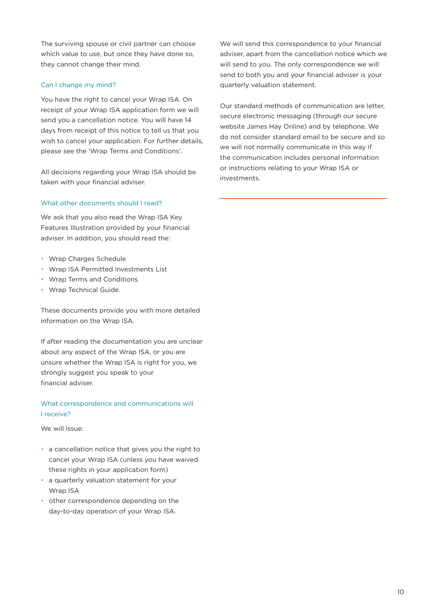The surviving spouse or civil partner can choose which value to use, but once they have done so, they cannot change their mind.

## Can I change my mind?

You have the right to cancel your Wrap ISA. On receipt of your Wrap ISA application form we will send you a cancellation notice. You will have 14 days from receipt of this notice to tell us that you wish to cancel your application. For further details, please see the 'Wrap Terms and Conditions'.

All decisions regarding your Wrap ISA should be taken with your financial adviser.

## What other documents should I read?

We ask that you also read the Wrap ISA Key Features Illustration provided by your financial adviser. In addition, you should read the:

- Wrap Charges Schedule
- Wrap ISA Permitted Investments List
- Wrap Terms and Conditions
- Wrap Technical Guide.

These documents provide you with more detailed information on the Wrap ISA.

If after reading the documentation you are unclear about any aspect of the Wrap ISA, or you are unsure whether the Wrap ISA is right for you, we strongly suggest you speak to your financial adviser.

# What correspondence and communications will I receive?

We will issue:

- a cancellation notice that gives you the right to cancel your Wrap ISA (unless you have waived these rights in your application form)
- a quarterly valuation statement for your Wrap ISA
- other correspondence depending on the day-to-day operation of your Wrap ISA.

We will send this correspondence to your financial adviser, apart from the cancellation notice which we will send to you. The only correspondence we will send to both you and your financial adviser is your quarterly valuation statement.

Our standard methods of communication are letter, secure electronic messaging (through our secure website James Hay Online) and by telephone. We do not consider standard email to be secure and so we will not normally communicate in this way if the communication includes personal information or instructions relating to your Wrap ISA or investments.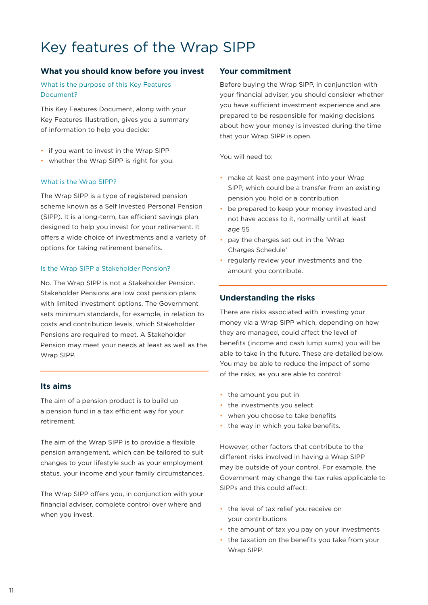# Key features of the Wrap SIPP

# **What you should know before you invest Your commitment**

What is the purpose of this Key Features Document?

This Key Features Document, along with your Key Features Illustration, gives you a summary of information to help you decide:

- if you want to invest in the Wrap SIPP
- whether the Wrap SIPP is right for you.

### What is the Wrap SIPP?

The Wrap SIPP is a type of registered pension scheme known as a Self Invested Personal Pension (SIPP). It is a long-term, tax efficient savings plan designed to help you invest for your retirement. It offers a wide choice of investments and a variety of options for taking retirement benefits.

#### Is the Wrap SIPP a Stakeholder Pension?

No. The Wrap SIPP is not a Stakeholder Pension. Stakeholder Pensions are low cost pension plans with limited investment options. The Government sets minimum standards, for example, in relation to costs and contribution levels, which Stakeholder Pensions are required to meet. A Stakeholder Pension may meet your needs at least as well as the Wrap SIPP.

# **Its aims**

The aim of a pension product is to build up a pension fund in a tax efficient way for your retirement.

The aim of the Wrap SIPP is to provide a flexible pension arrangement, which can be tailored to suit changes to your lifestyle such as your employment status, your income and your family circumstances.

The Wrap SIPP offers you, in conjunction with your financial adviser, complete control over where and when you invest.

Before buying the Wrap SIPP, in conjunction with your financial adviser, you should consider whether you have sufficient investment experience and are prepared to be responsible for making decisions about how your money is invested during the time that your Wrap SIPP is open.

You will need to:

- make at least one payment into your Wrap SIPP, which could be a transfer from an existing pension you hold or a contribution
- be prepared to keep your money invested and not have access to it, normally until at least age 55
- pay the charges set out in the 'Wrap Charges Schedule'
- regularly review your investments and the amount you contribute.

# **Understanding the risks**

There are risks associated with investing your money via a Wrap SIPP which, depending on how they are managed, could affect the level of benefits (income and cash lump sums) you will be able to take in the future. These are detailed below. You may be able to reduce the impact of some of the risks, as you are able to control:

- the amount you put in
- the investments you select
- when you choose to take benefits
- the way in which you take benefits.

However, other factors that contribute to the different risks involved in having a Wrap SIPP may be outside of your control. For example, the Government may change the tax rules applicable to SIPPs and this could affect:

- the level of tax relief you receive on your contributions
- the amount of tax you pay on your investments
- the taxation on the benefits you take from your Wrap SIPP.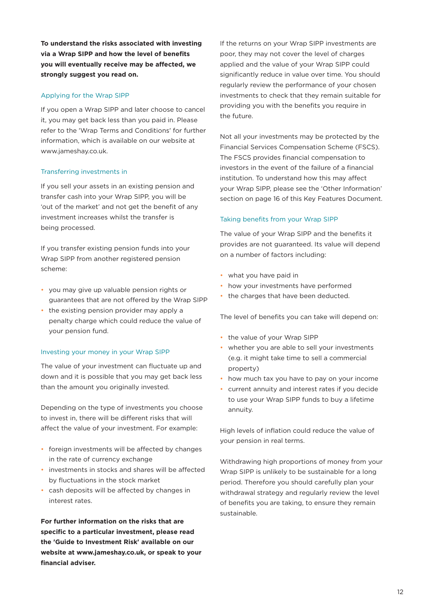**To understand the risks associated with investing via a Wrap SIPP and how the level of benefits you will eventually receive may be affected, we strongly suggest you read on.**

### Applying for the Wrap SIPP

If you open a Wrap SIPP and later choose to cancel it, you may get back less than you paid in. Please refer to the 'Wrap Terms and Conditions' for further information, which is available on our website at www.jameshay.co.uk.

## Transferring investments in

If you sell your assets in an existing pension and transfer cash into your Wrap SIPP, you will be 'out of the market' and not get the benefit of any investment increases whilst the transfer is being processed.

If you transfer existing pension funds into your Wrap SIPP from another registered pension scheme:

- you may give up valuable pension rights or guarantees that are not offered by the Wrap SIPP
- the existing pension provider may apply a penalty charge which could reduce the value of your pension fund.

### Investing your money in your Wrap SIPP

The value of your investment can fluctuate up and down and it is possible that you may get back less than the amount you originally invested.

Depending on the type of investments you choose to invest in, there will be different risks that will affect the value of your investment. For example:

- foreign investments will be affected by changes in the rate of currency exchange
- investments in stocks and shares will be affected by fluctuations in the stock market
- cash deposits will be affected by changes in interest rates.

**For further information on the risks that are specific to a particular investment, please read the 'Guide to Investment Risk' available on our website at www.jameshay.co.uk, or speak to your financial adviser.**

If the returns on your Wrap SIPP investments are poor, they may not cover the level of charges applied and the value of your Wrap SIPP could significantly reduce in value over time. You should regularly review the performance of your chosen investments to check that they remain suitable for providing you with the benefits you require in the future.

Not all your investments may be protected by the Financial Services Compensation Scheme (FSCS). The FSCS provides financial compensation to investors in the event of the failure of a financial institution. To understand how this may affect your Wrap SIPP, please see the 'Other Information' section on page 16 of this Key Features Document.

### Taking benefits from your Wrap SIPP

The value of your Wrap SIPP and the benefits it provides are not guaranteed. Its value will depend on a number of factors including:

- what you have paid in
- how your investments have performed
- the charges that have been deducted.

The level of benefits you can take will depend on:

- the value of your Wrap SIPP
- whether you are able to sell your investments (e.g. it might take time to sell a commercial property)
- how much tax you have to pay on your income
- current annuity and interest rates if you decide to use your Wrap SIPP funds to buy a lifetime annuity.

High levels of inflation could reduce the value of your pension in real terms.

Withdrawing high proportions of money from your Wrap SIPP is unlikely to be sustainable for a long period. Therefore you should carefully plan your withdrawal strategy and regularly review the level of benefits you are taking, to ensure they remain sustainable.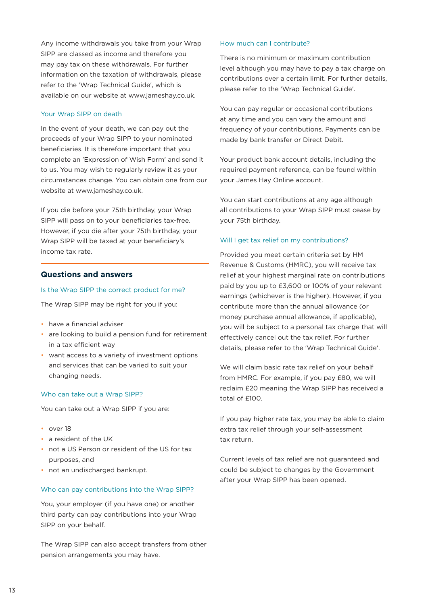Any income withdrawals you take from your Wrap SIPP are classed as income and therefore you may pay tax on these withdrawals. For further information on the taxation of withdrawals, please refer to the 'Wrap Technical Guide', which is available on our website at www.jameshay.co.uk.

### Your Wrap SIPP on death

In the event of your death, we can pay out the proceeds of your Wrap SIPP to your nominated beneficiaries. It is therefore important that you complete an 'Expression of Wish Form' and send it to us. You may wish to regularly review it as your circumstances change. You can obtain one from our website at www.jameshay.co.uk.

If you die before your 75th birthday, your Wrap SIPP will pass on to your beneficiaries tax-free. However, if you die after your 75th birthday, your Wrap SIPP will be taxed at your beneficiary's income tax rate.

#### **Questions and answers**

#### Is the Wrap SIPP the correct product for me?

The Wrap SIPP may be right for you if you:

- have a financial adviser
- are looking to build a pension fund for retirement in a tax efficient way
- want access to a variety of investment options and services that can be varied to suit your changing needs.

#### Who can take out a Wrap SIPP?

You can take out a Wrap SIPP if you are:

- over 18
- a resident of the UK
- not a US Person or resident of the US for tax purposes, and
- not an undischarged bankrupt.

#### Who can pay contributions into the Wrap SIPP?

You, your employer (if you have one) or another third party can pay contributions into your Wrap SIPP on your behalf.

The Wrap SIPP can also accept transfers from other pension arrangements you may have.

#### How much can I contribute?

There is no minimum or maximum contribution level although you may have to pay a tax charge on contributions over a certain limit. For further details, please refer to the 'Wrap Technical Guide'.

You can pay regular or occasional contributions at any time and you can vary the amount and frequency of your contributions. Payments can be made by bank transfer or Direct Debit.

Your product bank account details, including the required payment reference, can be found within your James Hay Online account.

You can start contributions at any age although all contributions to your Wrap SIPP must cease by your 75th birthday.

#### Will I get tax relief on my contributions?

Provided you meet certain criteria set by HM Revenue & Customs (HMRC), you will receive tax relief at your highest marginal rate on contributions paid by you up to £3,600 or 100% of your relevant earnings (whichever is the higher). However, if you contribute more than the annual allowance (or money purchase annual allowance, if applicable), you will be subject to a personal tax charge that will effectively cancel out the tax relief. For further details, please refer to the 'Wrap Technical Guide'.

We will claim basic rate tax relief on your behalf from HMRC. For example, if you pay £80, we will reclaim £20 meaning the Wrap SIPP has received a total of £100.

If you pay higher rate tax, you may be able to claim extra tax relief through your self-assessment tax return.

Current levels of tax relief are not guaranteed and could be subject to changes by the Government after your Wrap SIPP has been opened.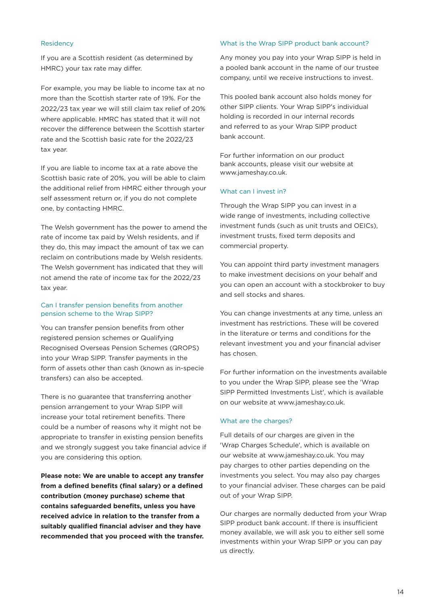#### Residency

If you are a Scottish resident (as determined by HMRC) your tax rate may differ.

For example, you may be liable to income tax at no more than the Scottish starter rate of 19%. For the 2022/23 tax year we will still claim tax relief of 20% where applicable. HMRC has stated that it will not recover the difference between the Scottish starter rate and the Scottish basic rate for the 2022/23 tax year.

If you are liable to income tax at a rate above the Scottish basic rate of 20%, you will be able to claim the additional relief from HMRC either through your self assessment return or, if you do not complete one, by contacting HMRC.

The Welsh government has the power to amend the rate of income tax paid by Welsh residents, and if they do, this may impact the amount of tax we can reclaim on contributions made by Welsh residents. The Welsh government has indicated that they will not amend the rate of income tax for the 2022/23 tax year.

### Can I transfer pension benefits from another pension scheme to the Wrap SIPP?

You can transfer pension benefits from other registered pension schemes or Qualifying Recognised Overseas Pension Schemes (QROPS) into your Wrap SIPP. Transfer payments in the form of assets other than cash (known as in-specie transfers) can also be accepted.

There is no guarantee that transferring another pension arrangement to your Wrap SIPP will increase your total retirement benefits. There could be a number of reasons why it might not be appropriate to transfer in existing pension benefits and we strongly suggest you take financial advice if you are considering this option.

**Please note: We are unable to accept any transfer from a defined benefits (final salary) or a defined contribution (money purchase) scheme that contains safeguarded benefits, unless you have received advice in relation to the transfer from a suitably qualified financial adviser and they have recommended that you proceed with the transfer.**

#### What is the Wrap SIPP product bank account?

Any money you pay into your Wrap SIPP is held in a pooled bank account in the name of our trustee company, until we receive instructions to invest.

This pooled bank account also holds money for other SIPP clients. Your Wrap SIPP's individual holding is recorded in our internal records and referred to as your Wrap SIPP product bank account.

For further information on our product bank accounts, please visit our website at www.jameshay.co.uk.

#### What can I invest in?

Through the Wrap SIPP you can invest in a wide range of investments, including collective investment funds (such as unit trusts and OEICs), investment trusts, fixed term deposits and commercial property.

You can appoint third party investment managers to make investment decisions on your behalf and you can open an account with a stockbroker to buy and sell stocks and shares.

You can change investments at any time, unless an investment has restrictions. These will be covered in the literature or terms and conditions for the relevant investment you and your financial adviser has chosen.

For further information on the investments available to you under the Wrap SIPP, please see the 'Wrap SIPP Permitted Investments List', which is available on our website at www.jameshay.co.uk.

#### What are the charges?

Full details of our charges are given in the 'Wrap Charges Schedule', which is available on our website at www.jameshay.co.uk. You may pay charges to other parties depending on the investments you select. You may also pay charges to your financial adviser. These charges can be paid out of your Wrap SIPP.

Our charges are normally deducted from your Wrap SIPP product bank account. If there is insufficient money available, we will ask you to either sell some investments within your Wrap SIPP or you can pay us directly.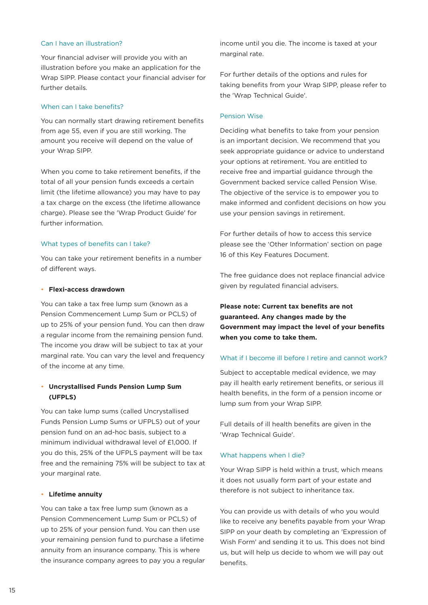#### Can I have an illustration?

Your financial adviser will provide you with an illustration before you make an application for the Wrap SIPP. Please contact your financial adviser for further details.

#### When can I take benefits?

You can normally start drawing retirement benefits from age 55, even if you are still working. The amount you receive will depend on the value of your Wrap SIPP.

When you come to take retirement benefits, if the total of all your pension funds exceeds a certain limit (the lifetime allowance) you may have to pay a tax charge on the excess (the lifetime allowance charge). Please see the 'Wrap Product Guide' for further information.

### What types of benefits can I take?

You can take your retirement benefits in a number of different ways.

#### • **Flexi-access drawdown**

You can take a tax free lump sum (known as a Pension Commencement Lump Sum or PCLS) of up to 25% of your pension fund. You can then draw a regular income from the remaining pension fund. The income you draw will be subject to tax at your marginal rate. You can vary the level and frequency of the income at any time.

## • **Uncrystallised Funds Pension Lump Sum (UFPLS)**

You can take lump sums (called Uncrystallised Funds Pension Lump Sums or UFPLS) out of your pension fund on an ad-hoc basis, subject to a minimum individual withdrawal level of £1,000. If you do this, 25% of the UFPLS payment will be tax free and the remaining 75% will be subject to tax at your marginal rate.

#### • **Lifetime annuity**

You can take a tax free lump sum (known as a Pension Commencement Lump Sum or PCLS) of up to 25% of your pension fund. You can then use your remaining pension fund to purchase a lifetime annuity from an insurance company. This is where the insurance company agrees to pay you a regular income until you die. The income is taxed at your marginal rate.

For further details of the options and rules for taking benefits from your Wrap SIPP, please refer to the 'Wrap Technical Guide'.

#### Pension Wise

Deciding what benefits to take from your pension is an important decision. We recommend that you seek appropriate guidance or advice to understand your options at retirement. You are entitled to receive free and impartial guidance through the Government backed service called Pension Wise. The objective of the service is to empower you to make informed and confident decisions on how you use your pension savings in retirement.

For further details of how to access this service please see the 'Other Information' section on page 16 of this Key Features Document.

The free guidance does not replace financial advice given by regulated financial advisers.

# **Please note: Current tax benefits are not guaranteed. Any changes made by the Government may impact the level of your benefits when you come to take them.**

## What if I become ill before I retire and cannot work?

Subject to acceptable medical evidence, we may pay ill health early retirement benefits, or serious ill health benefits, in the form of a pension income or lump sum from your Wrap SIPP.

Full details of ill health benefits are given in the 'Wrap Technical Guide'.

#### What happens when I die?

Your Wrap SIPP is held within a trust, which means it does not usually form part of your estate and therefore is not subject to inheritance tax.

You can provide us with details of who you would like to receive any benefits payable from your Wrap SIPP on your death by completing an 'Expression of Wish Form' and sending it to us. This does not bind us, but will help us decide to whom we will pay out benefits.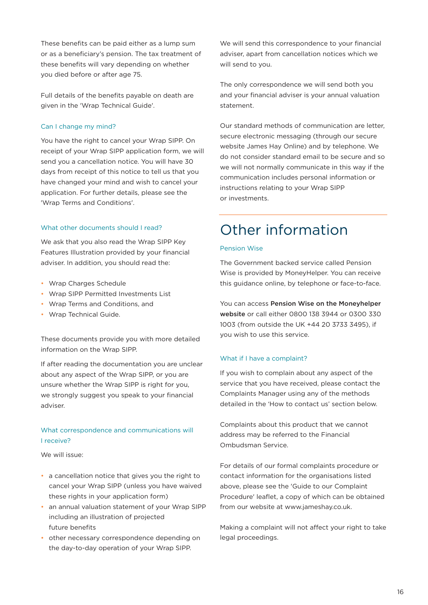These benefits can be paid either as a lump sum or as a beneficiary's pension. The tax treatment of these benefits will vary depending on whether you died before or after age 75.

Full details of the benefits payable on death are given in the 'Wrap Technical Guide'.

## Can I change my mind?

You have the right to cancel your Wrap SIPP. On receipt of your Wrap SIPP application form, we will send you a cancellation notice. You will have 30 days from receipt of this notice to tell us that you have changed your mind and wish to cancel your application. For further details, please see the 'Wrap Terms and Conditions'.

### What other documents should I read?

We ask that you also read the Wrap SIPP Key Features Illustration provided by your financial adviser. In addition, you should read the:

- Wrap Charges Schedule
- Wrap SIPP Permitted Investments List
- Wrap Terms and Conditions, and
- Wrap Technical Guide.

These documents provide you with more detailed information on the Wrap SIPP.

If after reading the documentation you are unclear about any aspect of the Wrap SIPP, or you are unsure whether the Wrap SIPP is right for you, we strongly suggest you speak to your financial adviser.

# What correspondence and communications will I receive?

We will issue:

- a cancellation notice that gives you the right to cancel your Wrap SIPP (unless you have waived these rights in your application form)
- an annual valuation statement of your Wrap SIPP including an illustration of projected future benefits
- other necessary correspondence depending on the day-to-day operation of your Wrap SIPP.

We will send this correspondence to your financial adviser, apart from cancellation notices which we will send to you.

The only correspondence we will send both you and your financial adviser is your annual valuation statement.

Our standard methods of communication are letter, secure electronic messaging (through our secure website James Hay Online) and by telephone. We do not consider standard email to be secure and so we will not normally communicate in this way if the communication includes personal information or instructions relating to your Wrap SIPP or investments.

# Other information

#### Pension Wise

The Government backed service called Pension Wise is provided by MoneyHelper. You can receive this guidance online, by telephone or face-to-face.

You can access [Pension Wise on the Moneyhelper](https://www.moneyhelper.org.uk/en/pensions-and-retirement/pension-wise)  [website](https://www.moneyhelper.org.uk/en/pensions-and-retirement/pension-wise) or call either 0800 138 3944 or 0300 330 1003 (from outside the UK +44 20 3733 3495), if you wish to use this service.

### What if I have a complaint?

If you wish to complain about any aspect of the service that you have received, please contact the Complaints Manager using any of the methods detailed in the 'How to contact us' section below.

Complaints about this product that we cannot address may be referred to the Financial Ombudsman Service.

For details of our formal complaints procedure or contact information for the organisations listed above, please see the 'Guide to our Complaint Procedure' leaflet, a copy of which can be obtained from our website at www.jameshay.co.uk.

Making a complaint will not affect your right to take legal proceedings.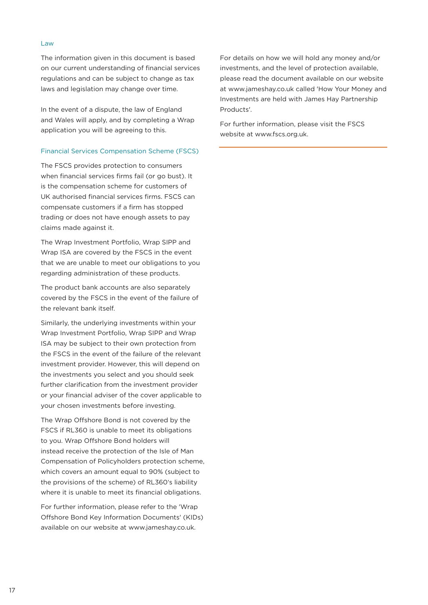#### Law

The information given in this document is based on our current understanding of financial services regulations and can be subject to change as tax laws and legislation may change over time.

In the event of a dispute, the law of England and Wales will apply, and by completing a Wrap application you will be agreeing to this.

#### Financial Services Compensation Scheme (FSCS)

The FSCS provides protection to consumers when financial services firms fail (or go bust). It is the compensation scheme for customers of UK authorised financial services firms. FSCS can compensate customers if a firm has stopped trading or does not have enough assets to pay claims made against it.

The Wrap Investment Portfolio, Wrap SIPP and Wrap ISA are covered by the FSCS in the event that we are unable to meet our obligations to you regarding administration of these products.

The product bank accounts are also separately covered by the FSCS in the event of the failure of the relevant bank itself.

Similarly, the underlying investments within your Wrap Investment Portfolio, Wrap SIPP and Wrap ISA may be subject to their own protection from the FSCS in the event of the failure of the relevant investment provider. However, this will depend on the investments you select and you should seek further clarification from the investment provider or your financial adviser of the cover applicable to your chosen investments before investing.

The Wrap Offshore Bond is not covered by the FSCS if RL360 is unable to meet its obligations to you. Wrap Offshore Bond holders will instead receive the protection of the Isle of Man Compensation of Policyholders protection scheme, which covers an amount equal to 90% (subject to the provisions of the scheme) of RL360's liability where it is unable to meet its financial obligations.

For further information, please refer to the 'Wrap Offshore Bond Key Information Documents' (KIDs) available on our website at www.jameshay.co.uk.

For details on how we will hold any money and/or investments, and the level of protection available, please read the document available on our website at www.jameshay.co.uk called 'How Your Money and Investments are held with James Hay Partnership Products'.

For further information, please visit the FSCS website at www.fscs.org.uk.